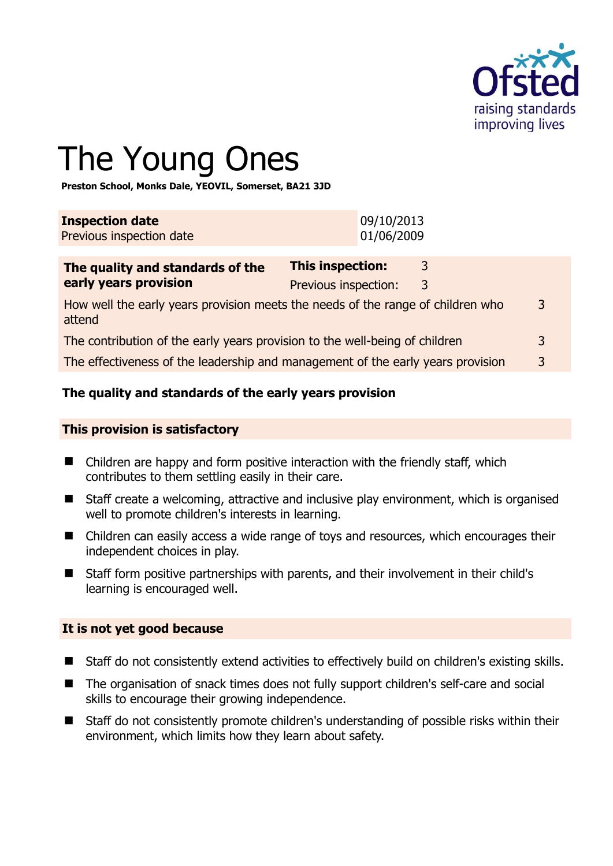

# The Young Ones

**Preston School, Monks Dale, YEOVIL, Somerset, BA21 3JD** 

| <b>Inspection date</b>   | 09/10/2013 |
|--------------------------|------------|
| Previous inspection date | 01/06/2009 |
|                          |            |

| The quality and standards of the                                                          | <b>This inspection:</b> | 3 |   |
|-------------------------------------------------------------------------------------------|-------------------------|---|---|
| early years provision                                                                     | Previous inspection:    | 3 |   |
| How well the early years provision meets the needs of the range of children who<br>attend |                         |   | 3 |
| The contribution of the early years provision to the well-being of children               |                         |   | 3 |
| The effectiveness of the leadership and management of the early years provision           |                         |   | 3 |

# **The quality and standards of the early years provision**

#### **This provision is satisfactory**

- Children are happy and form positive interaction with the friendly staff, which contributes to them settling easily in their care.
- Staff create a welcoming, attractive and inclusive play environment, which is organised well to promote children's interests in learning.
- Children can easily access a wide range of toys and resources, which encourages their independent choices in play.
- Staff form positive partnerships with parents, and their involvement in their child's learning is encouraged well.

#### **It is not yet good because**

- Staff do not consistently extend activities to effectively build on children's existing skills.
- The organisation of snack times does not fully support children's self-care and social skills to encourage their growing independence.
- Staff do not consistently promote children's understanding of possible risks within their environment, which limits how they learn about safety.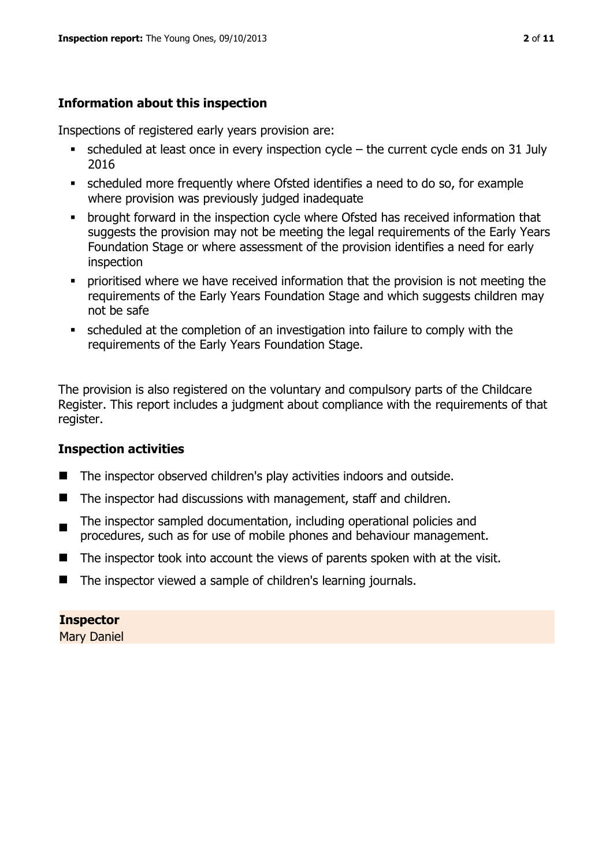# **Information about this inspection**

Inspections of registered early years provision are:

- scheduled at least once in every inspection cycle the current cycle ends on 31 July 2016
- scheduled more frequently where Ofsted identifies a need to do so, for example where provision was previously judged inadequate
- **•** brought forward in the inspection cycle where Ofsted has received information that suggests the provision may not be meeting the legal requirements of the Early Years Foundation Stage or where assessment of the provision identifies a need for early inspection
- **•** prioritised where we have received information that the provision is not meeting the requirements of the Early Years Foundation Stage and which suggests children may not be safe
- scheduled at the completion of an investigation into failure to comply with the requirements of the Early Years Foundation Stage.

The provision is also registered on the voluntary and compulsory parts of the Childcare Register. This report includes a judgment about compliance with the requirements of that register.

# **Inspection activities**

- The inspector observed children's play activities indoors and outside.
- The inspector had discussions with management, staff and children.
- The inspector sampled documentation, including operational policies and procedures, such as for use of mobile phones and behaviour management.
- $\blacksquare$  The inspector took into account the views of parents spoken with at the visit.
- The inspector viewed a sample of children's learning journals.

# **Inspector**

Mary Daniel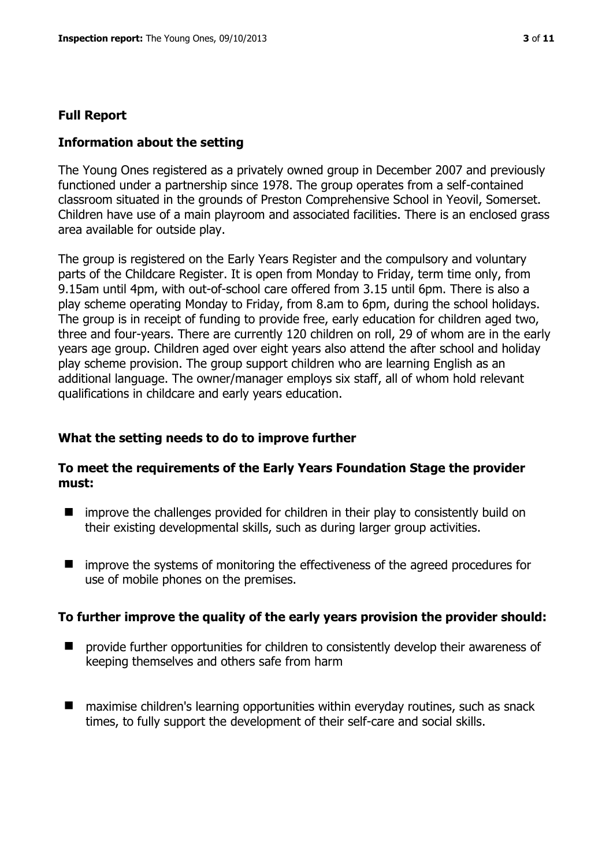#### **Full Report**

#### **Information about the setting**

The Young Ones registered as a privately owned group in December 2007 and previously functioned under a partnership since 1978. The group operates from a self-contained classroom situated in the grounds of Preston Comprehensive School in Yeovil, Somerset. Children have use of a main playroom and associated facilities. There is an enclosed grass area available for outside play.

The group is registered on the Early Years Register and the compulsory and voluntary parts of the Childcare Register. It is open from Monday to Friday, term time only, from 9.15am until 4pm, with out-of-school care offered from 3.15 until 6pm. There is also a play scheme operating Monday to Friday, from 8.am to 6pm, during the school holidays. The group is in receipt of funding to provide free, early education for children aged two, three and four-years. There are currently 120 children on roll, 29 of whom are in the early years age group. Children aged over eight years also attend the after school and holiday play scheme provision. The group support children who are learning English as an additional language. The owner/manager employs six staff, all of whom hold relevant qualifications in childcare and early years education.

#### **What the setting needs to do to improve further**

#### **To meet the requirements of the Early Years Foundation Stage the provider must:**

- $\blacksquare$  improve the challenges provided for children in their play to consistently build on their existing developmental skills, such as during larger group activities.
- **I** improve the systems of monitoring the effectiveness of the agreed procedures for use of mobile phones on the premises.

#### **To further improve the quality of the early years provision the provider should:**

- **P** provide further opportunities for children to consistently develop their awareness of keeping themselves and others safe from harm
- maximise children's learning opportunities within everyday routines, such as snack times, to fully support the development of their self-care and social skills.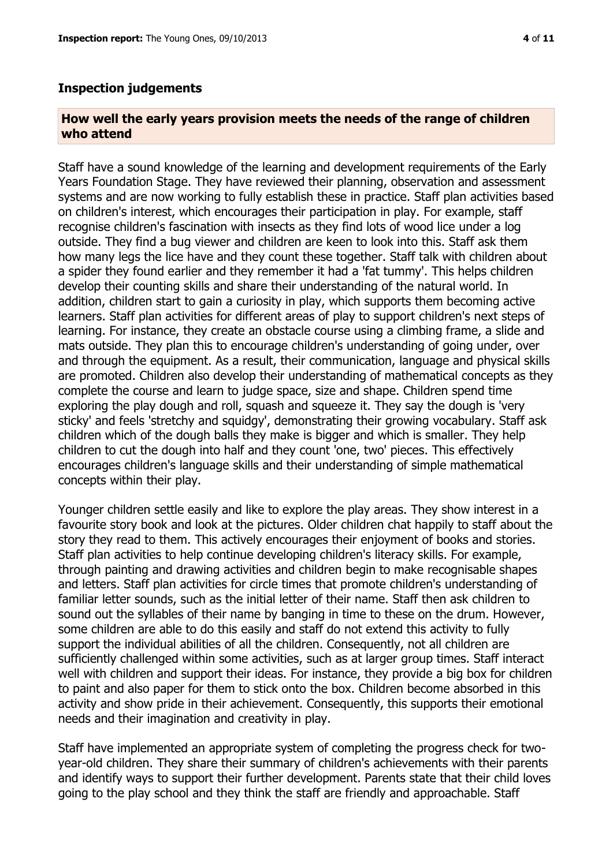#### **Inspection judgements**

#### **How well the early years provision meets the needs of the range of children who attend**

Staff have a sound knowledge of the learning and development requirements of the Early Years Foundation Stage. They have reviewed their planning, observation and assessment systems and are now working to fully establish these in practice. Staff plan activities based on children's interest, which encourages their participation in play. For example, staff recognise children's fascination with insects as they find lots of wood lice under a log outside. They find a bug viewer and children are keen to look into this. Staff ask them how many legs the lice have and they count these together. Staff talk with children about a spider they found earlier and they remember it had a 'fat tummy'. This helps children develop their counting skills and share their understanding of the natural world. In addition, children start to gain a curiosity in play, which supports them becoming active learners. Staff plan activities for different areas of play to support children's next steps of learning. For instance, they create an obstacle course using a climbing frame, a slide and mats outside. They plan this to encourage children's understanding of going under, over and through the equipment. As a result, their communication, language and physical skills are promoted. Children also develop their understanding of mathematical concepts as they complete the course and learn to judge space, size and shape. Children spend time exploring the play dough and roll, squash and squeeze it. They say the dough is 'very sticky' and feels 'stretchy and squidgy', demonstrating their growing vocabulary. Staff ask children which of the dough balls they make is bigger and which is smaller. They help children to cut the dough into half and they count 'one, two' pieces. This effectively encourages children's language skills and their understanding of simple mathematical concepts within their play.

Younger children settle easily and like to explore the play areas. They show interest in a favourite story book and look at the pictures. Older children chat happily to staff about the story they read to them. This actively encourages their enjoyment of books and stories. Staff plan activities to help continue developing children's literacy skills. For example, through painting and drawing activities and children begin to make recognisable shapes and letters. Staff plan activities for circle times that promote children's understanding of familiar letter sounds, such as the initial letter of their name. Staff then ask children to sound out the syllables of their name by banging in time to these on the drum. However, some children are able to do this easily and staff do not extend this activity to fully support the individual abilities of all the children. Consequently, not all children are sufficiently challenged within some activities, such as at larger group times. Staff interact well with children and support their ideas. For instance, they provide a big box for children to paint and also paper for them to stick onto the box. Children become absorbed in this activity and show pride in their achievement. Consequently, this supports their emotional needs and their imagination and creativity in play.

Staff have implemented an appropriate system of completing the progress check for twoyear-old children. They share their summary of children's achievements with their parents and identify ways to support their further development. Parents state that their child loves going to the play school and they think the staff are friendly and approachable. Staff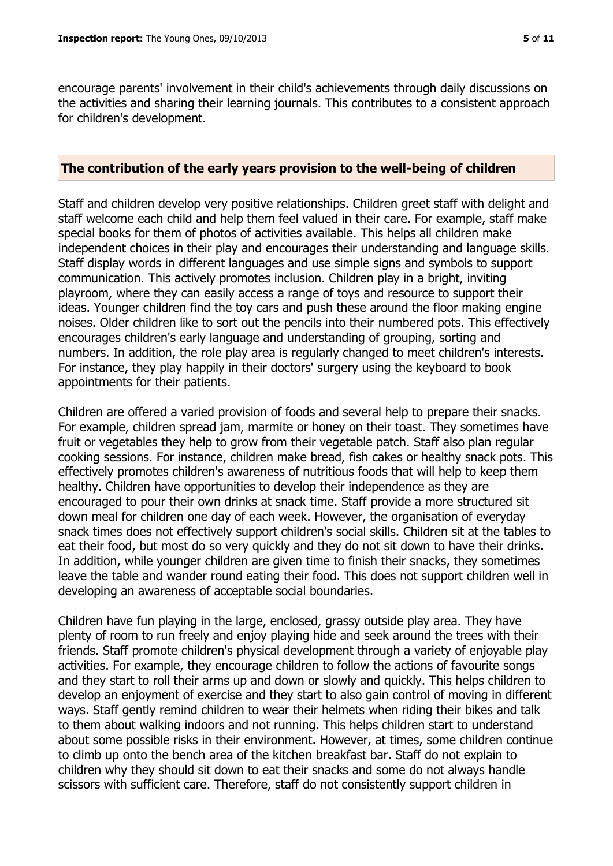encourage parents' involvement in their child's achievements through daily discussions on the activities and sharing their learning journals. This contributes to a consistent approach for children's development.

#### **The contribution of the early years provision to the well-being of children**

Staff and children develop very positive relationships. Children greet staff with delight and staff welcome each child and help them feel valued in their care. For example, staff make special books for them of photos of activities available. This helps all children make independent choices in their play and encourages their understanding and language skills. Staff display words in different languages and use simple signs and symbols to support communication. This actively promotes inclusion. Children play in a bright, inviting playroom, where they can easily access a range of toys and resource to support their ideas. Younger children find the toy cars and push these around the floor making engine noises. Older children like to sort out the pencils into their numbered pots. This effectively encourages children's early language and understanding of grouping, sorting and numbers. In addition, the role play area is regularly changed to meet children's interests. For instance, they play happily in their doctors' surgery using the keyboard to book appointments for their patients.

Children are offered a varied provision of foods and several help to prepare their snacks. For example, children spread jam, marmite or honey on their toast. They sometimes have fruit or vegetables they help to grow from their vegetable patch. Staff also plan regular cooking sessions. For instance, children make bread, fish cakes or healthy snack pots. This effectively promotes children's awareness of nutritious foods that will help to keep them healthy. Children have opportunities to develop their independence as they are encouraged to pour their own drinks at snack time. Staff provide a more structured sit down meal for children one day of each week. However, the organisation of everyday snack times does not effectively support children's social skills. Children sit at the tables to eat their food, but most do so very quickly and they do not sit down to have their drinks. In addition, while younger children are given time to finish their snacks, they sometimes leave the table and wander round eating their food. This does not support children well in developing an awareness of acceptable social boundaries.

Children have fun playing in the large, enclosed, grassy outside play area. They have plenty of room to run freely and enjoy playing hide and seek around the trees with their friends. Staff promote children's physical development through a variety of enjoyable play activities. For example, they encourage children to follow the actions of favourite songs and they start to roll their arms up and down or slowly and quickly. This helps children to develop an enjoyment of exercise and they start to also gain control of moving in different ways. Staff gently remind children to wear their helmets when riding their bikes and talk to them about walking indoors and not running. This helps children start to understand about some possible risks in their environment. However, at times, some children continue to climb up onto the bench area of the kitchen breakfast bar. Staff do not explain to children why they should sit down to eat their snacks and some do not always handle scissors with sufficient care. Therefore, staff do not consistently support children in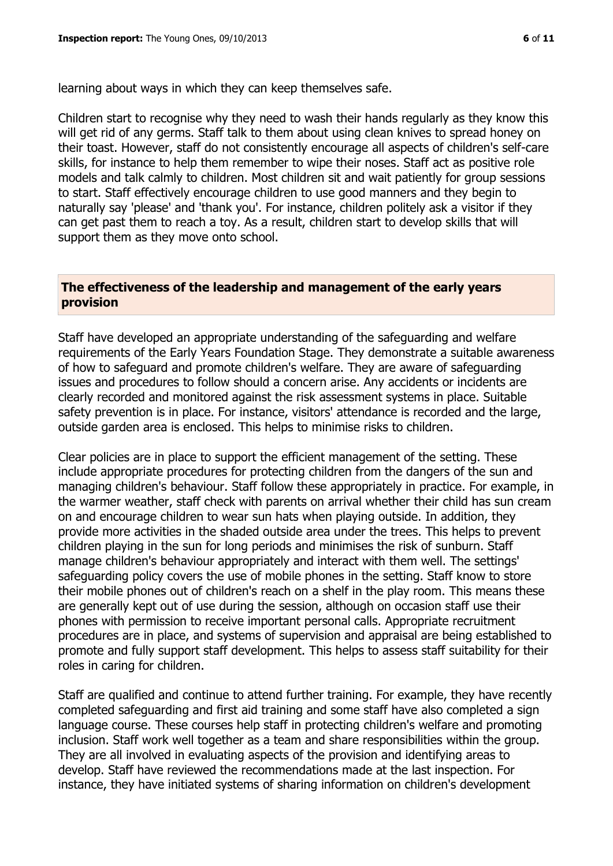learning about ways in which they can keep themselves safe.

Children start to recognise why they need to wash their hands regularly as they know this will get rid of any germs. Staff talk to them about using clean knives to spread honey on their toast. However, staff do not consistently encourage all aspects of children's self-care skills, for instance to help them remember to wipe their noses. Staff act as positive role models and talk calmly to children. Most children sit and wait patiently for group sessions to start. Staff effectively encourage children to use good manners and they begin to naturally say 'please' and 'thank you'. For instance, children politely ask a visitor if they can get past them to reach a toy. As a result, children start to develop skills that will support them as they move onto school.

#### **The effectiveness of the leadership and management of the early years provision**

Staff have developed an appropriate understanding of the safeguarding and welfare requirements of the Early Years Foundation Stage. They demonstrate a suitable awareness of how to safeguard and promote children's welfare. They are aware of safeguarding issues and procedures to follow should a concern arise. Any accidents or incidents are clearly recorded and monitored against the risk assessment systems in place. Suitable safety prevention is in place. For instance, visitors' attendance is recorded and the large, outside garden area is enclosed. This helps to minimise risks to children.

Clear policies are in place to support the efficient management of the setting. These include appropriate procedures for protecting children from the dangers of the sun and managing children's behaviour. Staff follow these appropriately in practice. For example, in the warmer weather, staff check with parents on arrival whether their child has sun cream on and encourage children to wear sun hats when playing outside. In addition, they provide more activities in the shaded outside area under the trees. This helps to prevent children playing in the sun for long periods and minimises the risk of sunburn. Staff manage children's behaviour appropriately and interact with them well. The settings' safeguarding policy covers the use of mobile phones in the setting. Staff know to store their mobile phones out of children's reach on a shelf in the play room. This means these are generally kept out of use during the session, although on occasion staff use their phones with permission to receive important personal calls. Appropriate recruitment procedures are in place, and systems of supervision and appraisal are being established to promote and fully support staff development. This helps to assess staff suitability for their roles in caring for children.

Staff are qualified and continue to attend further training. For example, they have recently completed safeguarding and first aid training and some staff have also completed a sign language course. These courses help staff in protecting children's welfare and promoting inclusion. Staff work well together as a team and share responsibilities within the group. They are all involved in evaluating aspects of the provision and identifying areas to develop. Staff have reviewed the recommendations made at the last inspection. For instance, they have initiated systems of sharing information on children's development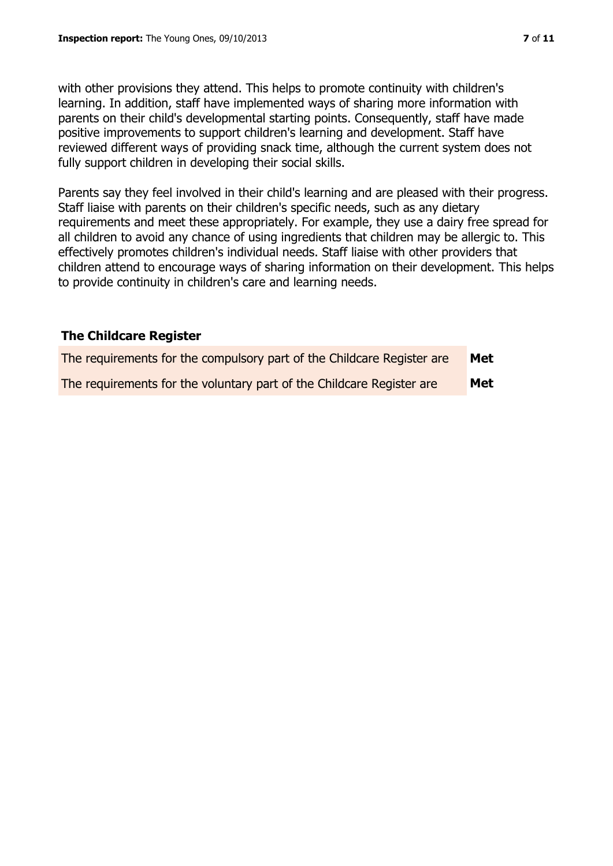with other provisions they attend. This helps to promote continuity with children's learning. In addition, staff have implemented ways of sharing more information with parents on their child's developmental starting points. Consequently, staff have made positive improvements to support children's learning and development. Staff have reviewed different ways of providing snack time, although the current system does not fully support children in developing their social skills.

Parents say they feel involved in their child's learning and are pleased with their progress. Staff liaise with parents on their children's specific needs, such as any dietary requirements and meet these appropriately. For example, they use a dairy free spread for all children to avoid any chance of using ingredients that children may be allergic to. This effectively promotes children's individual needs. Staff liaise with other providers that children attend to encourage ways of sharing information on their development. This helps to provide continuity in children's care and learning needs.

## **The Childcare Register**

| The requirements for the compulsory part of the Childcare Register are | Met |
|------------------------------------------------------------------------|-----|
| The requirements for the voluntary part of the Childcare Register are  | Met |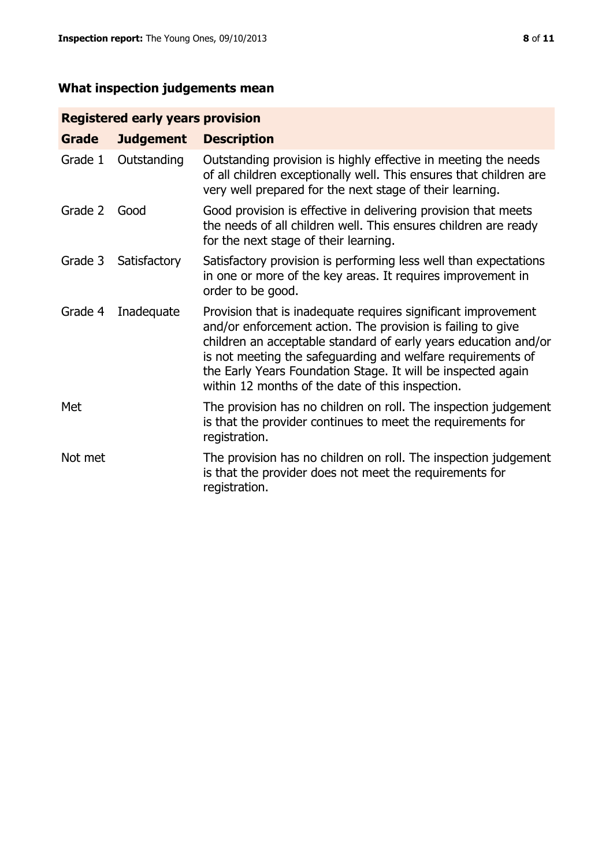# **What inspection judgements mean**

# **Registered early years provision**

| Grade   | <b>Judgement</b> | <b>Description</b>                                                                                                                                                                                                                                                                                                                                                                 |
|---------|------------------|------------------------------------------------------------------------------------------------------------------------------------------------------------------------------------------------------------------------------------------------------------------------------------------------------------------------------------------------------------------------------------|
| Grade 1 | Outstanding      | Outstanding provision is highly effective in meeting the needs<br>of all children exceptionally well. This ensures that children are<br>very well prepared for the next stage of their learning.                                                                                                                                                                                   |
| Grade 2 | Good             | Good provision is effective in delivering provision that meets<br>the needs of all children well. This ensures children are ready<br>for the next stage of their learning.                                                                                                                                                                                                         |
| Grade 3 | Satisfactory     | Satisfactory provision is performing less well than expectations<br>in one or more of the key areas. It requires improvement in<br>order to be good.                                                                                                                                                                                                                               |
| Grade 4 | Inadequate       | Provision that is inadequate requires significant improvement<br>and/or enforcement action. The provision is failing to give<br>children an acceptable standard of early years education and/or<br>is not meeting the safeguarding and welfare requirements of<br>the Early Years Foundation Stage. It will be inspected again<br>within 12 months of the date of this inspection. |
| Met     |                  | The provision has no children on roll. The inspection judgement<br>is that the provider continues to meet the requirements for<br>registration.                                                                                                                                                                                                                                    |
| Not met |                  | The provision has no children on roll. The inspection judgement<br>is that the provider does not meet the requirements for<br>registration.                                                                                                                                                                                                                                        |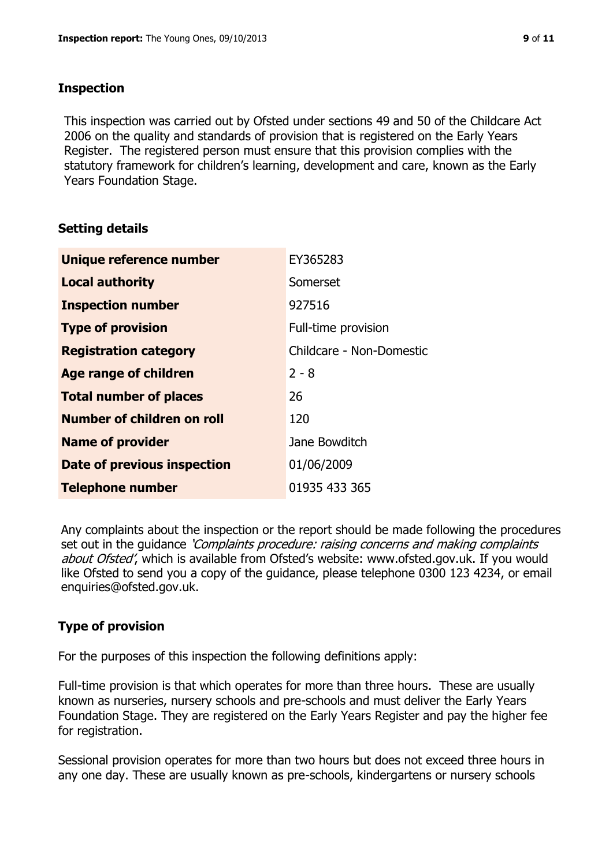## **Inspection**

This inspection was carried out by Ofsted under sections 49 and 50 of the Childcare Act 2006 on the quality and standards of provision that is registered on the Early Years Register. The registered person must ensure that this provision complies with the statutory framework for children's learning, development and care, known as the Early Years Foundation Stage.

# **Setting details**

| Unique reference number       | EY365283                 |
|-------------------------------|--------------------------|
| <b>Local authority</b>        | Somerset                 |
| <b>Inspection number</b>      | 927516                   |
| <b>Type of provision</b>      | Full-time provision      |
| <b>Registration category</b>  | Childcare - Non-Domestic |
| <b>Age range of children</b>  | $2 - 8$                  |
| <b>Total number of places</b> | 26                       |
| Number of children on roll    | 120                      |
| <b>Name of provider</b>       | Jane Bowditch            |
| Date of previous inspection   | 01/06/2009               |
| <b>Telephone number</b>       | 01935 433 365            |

Any complaints about the inspection or the report should be made following the procedures set out in the guidance *'Complaints procedure: raising concerns and making complaints* about Ofsted', which is available from Ofsted's website: www.ofsted.gov.uk. If you would like Ofsted to send you a copy of the guidance, please telephone 0300 123 4234, or email enquiries@ofsted.gov.uk.

# **Type of provision**

For the purposes of this inspection the following definitions apply:

Full-time provision is that which operates for more than three hours. These are usually known as nurseries, nursery schools and pre-schools and must deliver the Early Years Foundation Stage. They are registered on the Early Years Register and pay the higher fee for registration.

Sessional provision operates for more than two hours but does not exceed three hours in any one day. These are usually known as pre-schools, kindergartens or nursery schools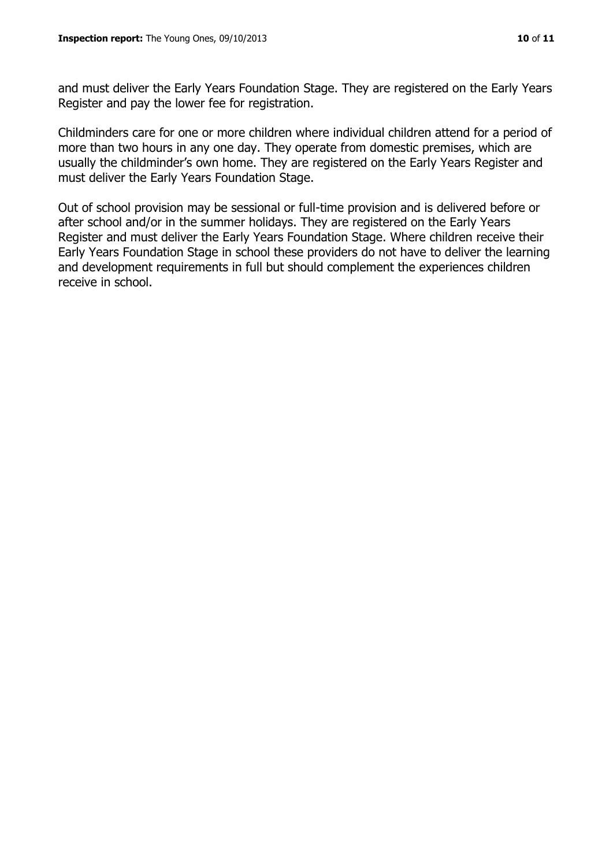and must deliver the Early Years Foundation Stage. They are registered on the Early Years Register and pay the lower fee for registration.

Childminders care for one or more children where individual children attend for a period of more than two hours in any one day. They operate from domestic premises, which are usually the childminder's own home. They are registered on the Early Years Register and must deliver the Early Years Foundation Stage.

Out of school provision may be sessional or full-time provision and is delivered before or after school and/or in the summer holidays. They are registered on the Early Years Register and must deliver the Early Years Foundation Stage. Where children receive their Early Years Foundation Stage in school these providers do not have to deliver the learning and development requirements in full but should complement the experiences children receive in school.